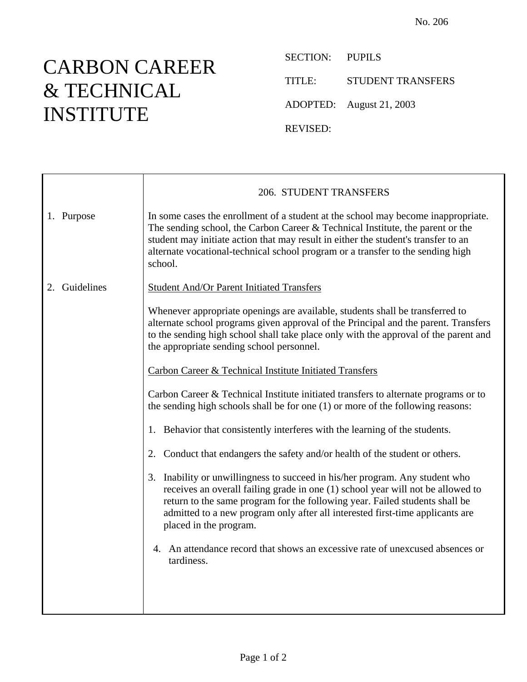## CARBON CAREER & TECHNICAL INSTITUTE

SECTION: PUPILS TITLE: STUDENT TRANSFERS ADOPTED: August 21, 2003 REVISED:

|               | 206. STUDENT TRANSFERS                                                                                                                                                                                                                                                                                                                                       |
|---------------|--------------------------------------------------------------------------------------------------------------------------------------------------------------------------------------------------------------------------------------------------------------------------------------------------------------------------------------------------------------|
| 1. Purpose    | In some cases the enrollment of a student at the school may become inappropriate.<br>The sending school, the Carbon Career $&$ Technical Institute, the parent or the<br>student may initiate action that may result in either the student's transfer to an<br>alternate vocational-technical school program or a transfer to the sending high<br>school.    |
| 2. Guidelines | <b>Student And/Or Parent Initiated Transfers</b>                                                                                                                                                                                                                                                                                                             |
|               | Whenever appropriate openings are available, students shall be transferred to<br>alternate school programs given approval of the Principal and the parent. Transfers<br>to the sending high school shall take place only with the approval of the parent and<br>the appropriate sending school personnel.                                                    |
|               | <b>Carbon Career &amp; Technical Institute Initiated Transfers</b>                                                                                                                                                                                                                                                                                           |
|               | Carbon Career & Technical Institute initiated transfers to alternate programs or to<br>the sending high schools shall be for one $(1)$ or more of the following reasons:                                                                                                                                                                                     |
|               | 1. Behavior that consistently interferes with the learning of the students.                                                                                                                                                                                                                                                                                  |
|               | 2. Conduct that endangers the safety and/or health of the student or others.                                                                                                                                                                                                                                                                                 |
|               | Inability or unwillingness to succeed in his/her program. Any student who<br>3.<br>receives an overall failing grade in one (1) school year will not be allowed to<br>return to the same program for the following year. Failed students shall be<br>admitted to a new program only after all interested first-time applicants are<br>placed in the program. |
|               | 4. An attendance record that shows an excessive rate of unexcused absences or<br>tardiness.                                                                                                                                                                                                                                                                  |
|               |                                                                                                                                                                                                                                                                                                                                                              |